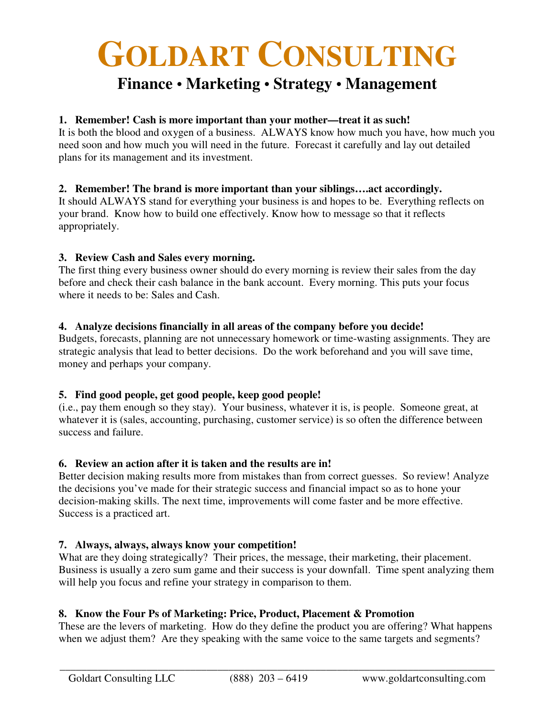# **GOLDART CONSULTING**

# **Finance • Marketing • Strategy • Management**

### **1. Remember! Cash is more important than your mother—treat it as such!**

It is both the blood and oxygen of a business. ALWAYS know how much you have, how much you need soon and how much you will need in the future. Forecast it carefully and lay out detailed plans for its management and its investment.

#### **2. Remember! The brand is more important than your siblings….act accordingly.**

It should ALWAYS stand for everything your business is and hopes to be. Everything reflects on your brand. Know how to build one effectively. Know how to message so that it reflects appropriately.

#### **3. Review Cash and Sales every morning.**

The first thing every business owner should do every morning is review their sales from the day before and check their cash balance in the bank account. Every morning. This puts your focus where it needs to be: Sales and Cash.

#### **4. Analyze decisions financially in all areas of the company before you decide!**

Budgets, forecasts, planning are not unnecessary homework or time-wasting assignments. They are strategic analysis that lead to better decisions. Do the work beforehand and you will save time, money and perhaps your company.

# **5. Find good people, get good people, keep good people!**

(i.e., pay them enough so they stay). Your business, whatever it is, is people. Someone great, at whatever it is (sales, accounting, purchasing, customer service) is so often the difference between success and failure.

# **6. Review an action after it is taken and the results are in!**

Better decision making results more from mistakes than from correct guesses. So review! Analyze the decisions you've made for their strategic success and financial impact so as to hone your decision-making skills. The next time, improvements will come faster and be more effective. Success is a practiced art.

# **7. Always, always, always know your competition!**

What are they doing strategically? Their prices, the message, their marketing, their placement. Business is usually a zero sum game and their success is your downfall. Time spent analyzing them will help you focus and refine your strategy in comparison to them.

# **8. Know the Four Ps of Marketing: Price, Product, Placement & Promotion**

These are the levers of marketing. How do they define the product you are offering? What happens when we adjust them? Are they speaking with the same voice to the same targets and segments?

\_\_\_\_\_\_\_\_\_\_\_\_\_\_\_\_\_\_\_\_\_\_\_\_\_\_\_\_\_\_\_\_\_\_\_\_\_\_\_\_\_\_\_\_\_\_\_\_\_\_\_\_\_\_\_\_\_\_\_\_\_\_\_\_\_\_\_\_\_\_\_\_\_\_\_\_\_\_\_\_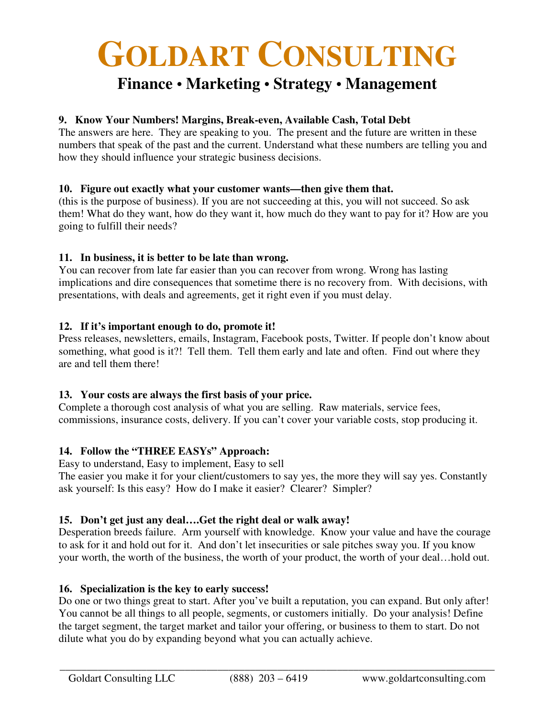# **GOLDART CONSULTING**

# **Finance • Marketing • Strategy • Management**

# **9. Know Your Numbers! Margins, Break-even, Available Cash, Total Debt**

The answers are here. They are speaking to you. The present and the future are written in these numbers that speak of the past and the current. Understand what these numbers are telling you and how they should influence your strategic business decisions.

# **10. Figure out exactly what your customer wants—then give them that.**

(this is the purpose of business). If you are not succeeding at this, you will not succeed. So ask them! What do they want, how do they want it, how much do they want to pay for it? How are you going to fulfill their needs?

# **11. In business, it is better to be late than wrong.**

You can recover from late far easier than you can recover from wrong. Wrong has lasting implications and dire consequences that sometime there is no recovery from. With decisions, with presentations, with deals and agreements, get it right even if you must delay.

#### **12. If it's important enough to do, promote it!**

Press releases, newsletters, emails, Instagram, Facebook posts, Twitter. If people don't know about something, what good is it?! Tell them. Tell them early and late and often. Find out where they are and tell them there!

# **13. Your costs are always the first basis of your price.**

Complete a thorough cost analysis of what you are selling. Raw materials, service fees, commissions, insurance costs, delivery. If you can't cover your variable costs, stop producing it.

# **14. Follow the "THREE EASYs" Approach:**

Easy to understand, Easy to implement, Easy to sell The easier you make it for your client/customers to say yes, the more they will say yes. Constantly ask yourself: Is this easy? How do I make it easier? Clearer? Simpler?

#### **15. Don't get just any deal….Get the right deal or walk away!**

Desperation breeds failure. Arm yourself with knowledge. Know your value and have the courage to ask for it and hold out for it. And don't let insecurities or sale pitches sway you. If you know your worth, the worth of the business, the worth of your product, the worth of your deal…hold out.

# **16. Specialization is the key to early success!**

Do one or two things great to start. After you've built a reputation, you can expand. But only after! You cannot be all things to all people, segments, or customers initially. Do your analysis! Define the target segment, the target market and tailor your offering, or business to them to start. Do not dilute what you do by expanding beyond what you can actually achieve.

\_\_\_\_\_\_\_\_\_\_\_\_\_\_\_\_\_\_\_\_\_\_\_\_\_\_\_\_\_\_\_\_\_\_\_\_\_\_\_\_\_\_\_\_\_\_\_\_\_\_\_\_\_\_\_\_\_\_\_\_\_\_\_\_\_\_\_\_\_\_\_\_\_\_\_\_\_\_\_\_